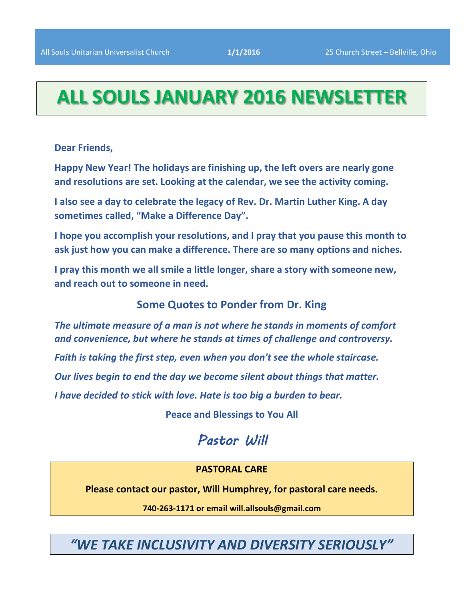# **ALL SOULS JANUARY 2016 NEWSLETTER**

**Dear Friends,**

**Happy New Year! The holidays are finishing up, the left overs are nearly gone and resolutions are set. Looking at the calendar, we see the activity coming.** 

**I also see a day to celebrate the legacy of Rev. Dr. Martin Luther King. A day sometimes called, "Make a Difference Day".**

**I hope you accomplish your resolutions, and I pray that you pause this month to ask just how you can make a difference. There are so many options and niches.**

**I pray this month we all smile a little longer, share a story with someone new, and reach out to someone in need.**

**Some Quotes to Ponder from Dr. King**

*The ultimate measure of a man is not where he stands in moments of comfort and convenience, but where he stands at times of challenge and controversy.*

*Faith is taking the first step, even when you don't see the whole staircase.*

*Our lives begin to end the day we become silent about things that matter.*

*I have decided to stick with love. Hate is too big a burden to bear.*

**Peace and Blessings to You All**

# *Pastor Will*

# **PASTORAL CARE**

**Please contact our pastor, Will Humphrey, for pastoral care needs.**

**740-263-1171 or email will.allsouls@gmail.com**

*"WE TAKE INCLUSIVITY AND DIVERSITY SERIOUSLY"*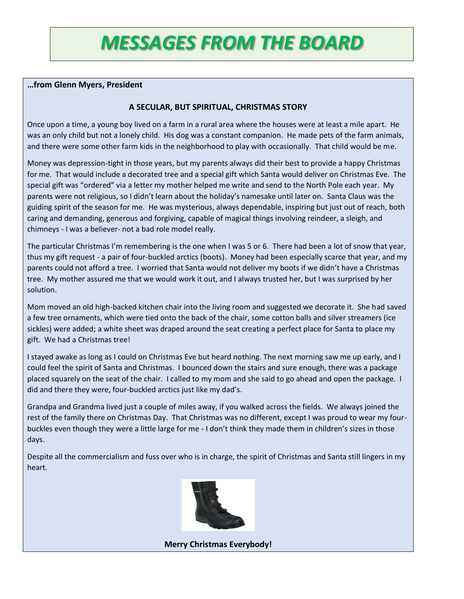# *MESSAGES FROM THE BOARD*

# **…from Glenn Myers, President**

### **A SECULAR, BUT SPIRITUAL, CHRISTMAS STORY**

Once upon a time, a young boy lived on a farm in a rural area where the houses were at least a mile apart. He was an only child but not a lonely child. His dog was a constant companion. He made pets of the farm animals, and there were some other farm kids in the neighborhood to play with occasionally. That child would be me.

Money was depression-tight in those years, but my parents always did their best to provide a happy Christmas for me. That would include a decorated tree and a special gift which Santa would deliver on Christmas Eve. The special gift was "ordered" via a letter my mother helped me write and send to the North Pole each year. My parents were not religious, so I didn't learn about the holiday's namesake until later on. Santa Claus was the guiding spirit of the season for me. He was mysterious, always dependable, inspiring but just out of reach, both caring and demanding, generous and forgiving, capable of magical things involving reindeer, a sleigh, and chimneys - I was a believer- not a bad role model really.

The particular Christmas I'm remembering is the one when I was 5 or 6. There had been a lot of snow that year, thus my gift request - a pair of four-buckled arctics (boots). Money had been especially scarce that year, and my parents could not afford a tree. I worried that Santa would not deliver my boots if we didn't have a Christmas tree. My mother assured me that we would work it out, and I always trusted her, but I was surprised by her solution.

Mom moved an old high-backed kitchen chair into the living room and suggested we decorate it. She had saved a few tree ornaments, which were tied onto the back of the chair, some cotton balls and silver streamers (ice sickles) were added; a white sheet was draped around the seat creating a perfect place for Santa to place my gift. We had a Christmas tree!

I stayed awake as long as I could on Christmas Eve but heard nothing. The next morning saw me up early, and I could feel the spirit of Santa and Christmas. I bounced down the stairs and sure enough, there was a package placed squarely on the seat of the chair. I called to my mom and she said to go ahead and open the package. I did and there they were, four-buckled arctics just like my dad's.

Grandpa and Grandma lived just a couple of miles away, if you walked across the fields. We always joined the rest of the family there on Christmas Day. That Christmas was no different, except I was proud to wear my fourbuckles even though they were a little large for me - I don't think they made them in children's sizes in those days.

Despite all the commercialism and fuss over who is in charge, the spirit of Christmas and Santa still lingers in my heart.



**Merry Christmas Everybody!**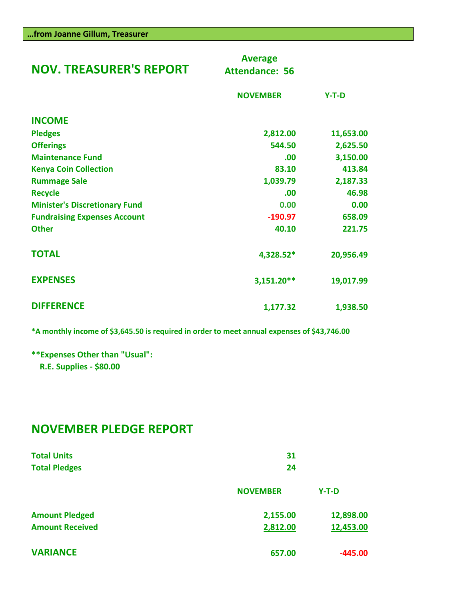| <b>NOV. TREASURER'S REPORT</b>       | <b>Average</b><br><b>Attendance: 56</b> |           |
|--------------------------------------|-----------------------------------------|-----------|
|                                      | <b>NOVEMBER</b>                         | $Y-T-D$   |
| <b>INCOME</b>                        |                                         |           |
| <b>Pledges</b>                       | 2,812.00                                | 11,653.00 |
| <b>Offerings</b>                     | 544.50                                  | 2,625.50  |
| <b>Maintenance Fund</b>              | .00                                     | 3,150.00  |
| <b>Kenya Coin Collection</b>         | 83.10                                   | 413.84    |
| <b>Rummage Sale</b>                  | 1,039.79                                | 2,187.33  |
| <b>Recycle</b>                       | .00                                     | 46.98     |
| <b>Minister's Discretionary Fund</b> | 0.00                                    | 0.00      |
| <b>Fundraising Expenses Account</b>  | $-190.97$                               | 658.09    |
| <b>Other</b>                         | 40.10                                   | 221.75    |
| <b>TOTAL</b>                         | 4,328.52*                               | 20,956.49 |
| <b>EXPENSES</b>                      | 3,151.20**                              | 19,017.99 |
| <b>DIFFERENCE</b>                    | 1,177.32                                | 1,938.50  |

**\*A monthly income of \$3,645.50 is required in order to meet annual expenses of \$43,746.00**

**\*\*Expenses Other than "Usual": R.E. Supplies - \$80.00**

# **NOVEMBER PLEDGE REPORT**

| <b>Total Units</b><br><b>Total Pledges</b> | 31<br>24        |           |
|--------------------------------------------|-----------------|-----------|
|                                            | <b>NOVEMBER</b> | $Y-T-D$   |
| <b>Amount Pledged</b>                      | 2,155.00        | 12,898.00 |
| <b>Amount Received</b>                     | 2,812.00        | 12,453.00 |
| <b>VARIANCE</b>                            | 657.00          | $-445.00$ |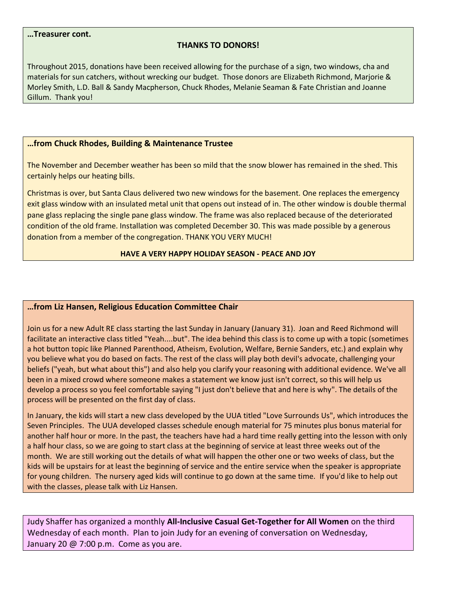#### **…Treasurer cont.**

#### **THANKS TO DONORS!**

Throughout 2015, donations have been received allowing for the purchase of a sign, two windows, cha and materials for sun catchers, without wrecking our budget. Those donors are Elizabeth Richmond, Marjorie & Morley Smith, L.D. Ball & Sandy Macpherson, Chuck Rhodes, Melanie Seaman & Fate Christian and Joanne Gillum. Thank you!

#### **…from Chuck Rhodes, Building & Maintenance Trustee**

The November and December weather has been so mild that the snow blower has remained in the shed. This certainly helps our heating bills.

Christmas is over, but Santa Claus delivered two new windows for the basement. One replaces the emergency exit glass window with an insulated metal unit that opens out instead of in. The other window is double thermal pane glass replacing the single pane glass window. The frame was also replaced because of the deteriorated condition of the old frame. Installation was completed December 30. This was made possible by a generous donation from a member of the congregation. THANK YOU VERY MUCH!

#### **HAVE A VERY HAPPY HOLIDAY SEASON - PEACE AND JOY**

#### **…from Liz Hansen, Religious Education Committee Chair**

Join us for a new Adult RE class starting the last Sunday in January (January 31). Joan and Reed Richmond will facilitate an interactive class titled "Yeah....but". The idea behind this class is to come up with a topic (sometimes a hot button topic like Planned Parenthood, Atheism, Evolution, Welfare, Bernie Sanders, etc.) and explain why you believe what you do based on facts. The rest of the class will play both devil's advocate, challenging your beliefs ("yeah, but what about this") and also help you clarify your reasoning with additional evidence. We've all been in a mixed crowd where someone makes a statement we know just isn't correct, so this will help us develop a process so you feel comfortable saying "I just don't believe that and here is why". The details of the process will be presented on the first day of class.

In January, the kids will start a new class developed by the UUA titled "Love Surrounds Us", which introduces the Seven Principles. The UUA developed classes schedule enough material for 75 minutes plus bonus material for another half hour or more. In the past, the teachers have had a hard time really getting into the lesson with only a half hour class, so we are going to start class at the beginning of service at least three weeks out of the month. We are still working out the details of what will happen the other one or two weeks of class, but the kids will be upstairs for at least the beginning of service and the entire service when the speaker is appropriate for young children. The nursery aged kids will continue to go down at the same time. If you'd like to help out with the classes, please talk with Liz Hansen.

Judy Shaffer has organized a monthly **All-Inclusive Casual Get-Together for All Women** on the third Wednesday of each month. Plan to join Judy for an evening of conversation on Wednesday, January 20 @ 7:00 p.m. Come as you are.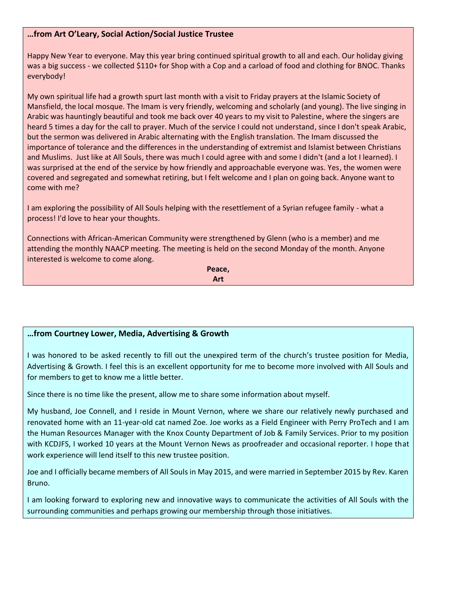# **…from Art O'Leary, Social Action/Social Justice Trustee**

Happy New Year to everyone. May this year bring continued spiritual growth to all and each. Our holiday giving was a big success - we collected \$110+ for Shop with a Cop and a carload of food and clothing for BNOC. Thanks everybody!

My own spiritual life had a growth spurt last month with a visit to Friday prayers at the Islamic Society of Mansfield, the local mosque. The Imam is very friendly, welcoming and scholarly (and young). The live singing in Arabic was hauntingly beautiful and took me back over 40 years to my visit to Palestine, where the singers are heard 5 times a day for the call to prayer. Much of the service I could not understand, since I don't speak Arabic, but the sermon was delivered in Arabic alternating with the English translation. The Imam discussed the importance of tolerance and the differences in the understanding of extremist and Islamist between Christians and Muslims. Just like at All Souls, there was much I could agree with and some I didn't (and a lot I learned). I was surprised at the end of the service by how friendly and approachable everyone was. Yes, the women were covered and segregated and somewhat retiring, but I felt welcome and I plan on going back. Anyone want to come with me?

I am exploring the possibility of All Souls helping with the resettlement of a Syrian refugee family - what a process! I'd love to hear your thoughts.

Connections with African-American Community were strengthened by Glenn (who is a member) and me attending the monthly NAACP meeting. The meeting is held on the second Monday of the month. Anyone interested is welcome to come along.

> **Peace, Art**

# **…from Courtney Lower, Media, Advertising & Growth**

I was honored to be asked recently to fill out the unexpired term of the church's trustee position for Media, Advertising & Growth. I feel this is an excellent opportunity for me to become more involved with All Souls and for members to get to know me a little better.

Since there is no time like the present, allow me to share some information about myself.

My husband, Joe Connell, and I reside in Mount Vernon, where we share our relatively newly purchased and renovated home with an 11-year-old cat named Zoe. Joe works as a Field Engineer with Perry ProTech and I am the Human Resources Manager with the Knox County Department of Job & Family Services. Prior to my position with KCDJFS, I worked 10 years at the Mount Vernon News as proofreader and occasional reporter. I hope that work experience will lend itself to this new trustee position.

Joe and I officially became members of All Souls in May 2015, and were married in September 2015 by Rev. Karen Bruno.

I am looking forward to exploring new and innovative ways to communicate the activities of All Souls with the surrounding communities and perhaps growing our membership through those initiatives.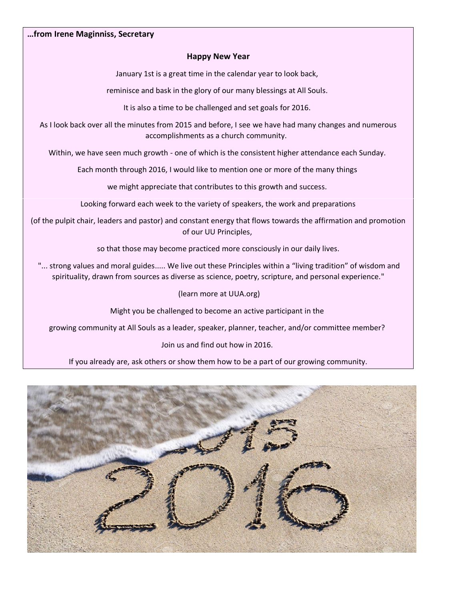#### **…from Irene Maginniss, Secretary**

#### **Happy New Year**

January 1st is a great time in the calendar year to look back,

reminisce and bask in the glory of our many blessings at All Souls.

It is also a time to be challenged and set goals for 2016.

As I look back over all the minutes from 2015 and before, I see we have had many changes and numerous accomplishments as a church community.

Within, we have seen much growth - one of which is the consistent higher attendance each Sunday.

Each month through 2016, I would like to mention one or more of the many things

we might appreciate that contributes to this growth and success.

Looking forward each week to the variety of speakers, the work and preparations

(of the pulpit chair, leaders and pastor) and constant energy that flows towards the affirmation and promotion of our UU Principles,

so that those may become practiced more consciously in our daily lives.

"... strong values and moral guides..... We live out these Principles within a "living tradition" of wisdom and spirituality, drawn from sources as diverse as science, poetry, scripture, and personal experience."

(learn more at UUA.org)

Might you be challenged to become an active participant in the

growing community at All Souls as a leader, speaker, planner, teacher, and/or committee member?

Join us and find out how in 2016.

If you already are, ask others or show them how to be a part of our growing community.

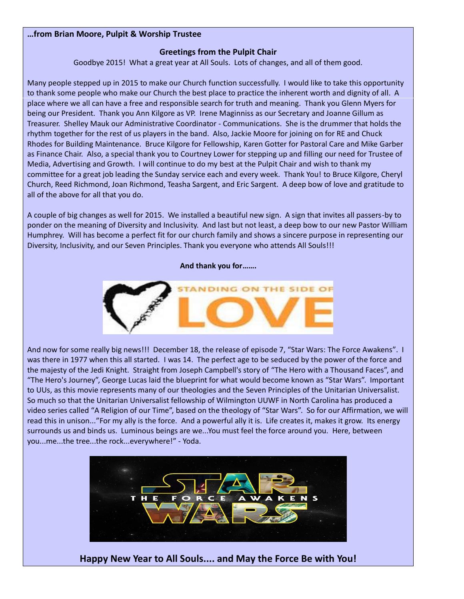#### **…from Brian Moore, Pulpit & Worship Trustee**

# **Greetings from the Pulpit Chair**

Goodbye 2015! What a great year at All Souls. Lots of changes, and all of them good.

Many people stepped up in 2015 to make our Church function successfully. I would like to take this opportunity to thank some people who make our Church the best place to practice the inherent worth and dignity of all. A place where we all can have a free and responsible search for truth and meaning. Thank you Glenn Myers for being our President. Thank you Ann Kilgore as VP. Irene Maginniss as our Secretary and Joanne Gillum as Treasurer. Shelley Mauk our Administrative Coordinator - Communications. She is the drummer that holds the rhythm together for the rest of us players in the band. Also, Jackie Moore for joining on for RE and Chuck Rhodes for Building Maintenance. Bruce Kilgore for Fellowship, Karen Gotter for Pastoral Care and Mike Garber as Finance Chair. Also, a special thank you to Courtney Lower for stepping up and filling our need for Trustee of Media, Advertising and Growth. I will continue to do my best at the Pulpit Chair and wish to thank my committee for a great job leading the Sunday service each and every week. Thank You! to Bruce Kilgore, Cheryl Church, Reed Richmond, Joan Richmond, Teasha Sargent, and Eric Sargent. A deep bow of love and gratitude to all of the above for all that you do.

A couple of big changes as well for 2015. We installed a beautiful new sign. A sign that invites all passers-by to ponder on the meaning of Diversity and Inclusivity. And last but not least, a deep bow to our new Pastor William Humphrey. Will has become a perfect fit for our church family and shows a sincere purpose in representing our Diversity, Inclusivity, and our Seven Principles. Thank you everyone who attends All Souls!!!

#### **And thank you for…….**



And now for some really big news!!! December 18, the release of episode 7, "Star Wars: The Force Awakens". I was there in 1977 when this all started. I was 14. The perfect age to be seduced by the power of the force and the majesty of the Jedi Knight. Straight from Joseph Campbell's story of "The Hero with a Thousand Faces", and "The Hero's Journey", George Lucas laid the blueprint for what would become known as "Star Wars". Important to UUs, as this movie represents many of our theologies and the Seven Principles of the Unitarian Universalist. So much so that the Unitarian Universalist fellowship of Wilmington UUWF in North Carolina has produced a video series called "A Religion of our Time", based on the theology of "Star Wars". So for our Affirmation, we will read this in unison..."For my ally is the force. And a powerful ally it is. Life creates it, makes it grow. Its energy surrounds us and binds us. Luminous beings are we...You must feel the force around you. Here, between you...me...the tree...the rock...everywhere!" - Yoda.



**Happy New Year to All Souls.... and May the Force Be with You!**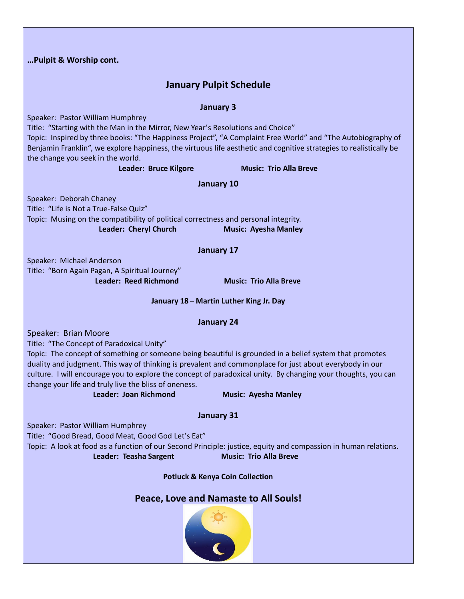|                                         | Pulpit & Worship cont.                                                                                                                                                                                                                                                                                                                                                                                                                                                                                                    |  |  |  |
|-----------------------------------------|---------------------------------------------------------------------------------------------------------------------------------------------------------------------------------------------------------------------------------------------------------------------------------------------------------------------------------------------------------------------------------------------------------------------------------------------------------------------------------------------------------------------------|--|--|--|
|                                         | <b>January Pulpit Schedule</b>                                                                                                                                                                                                                                                                                                                                                                                                                                                                                            |  |  |  |
|                                         | <b>January 3</b>                                                                                                                                                                                                                                                                                                                                                                                                                                                                                                          |  |  |  |
|                                         | Speaker: Pastor William Humphrey<br>Title: "Starting with the Man in the Mirror, New Year's Resolutions and Choice"<br>Topic: Inspired by three books: "The Happiness Project", "A Complaint Free World" and "The Autobiography of<br>Benjamin Franklin", we explore happiness, the virtuous life aesthetic and cognitive strategies to realistically be<br>the change you seek in the world.                                                                                                                             |  |  |  |
|                                         | Leader: Bruce Kilgore<br><b>Music: Trio Alla Breve</b>                                                                                                                                                                                                                                                                                                                                                                                                                                                                    |  |  |  |
|                                         | January 10                                                                                                                                                                                                                                                                                                                                                                                                                                                                                                                |  |  |  |
|                                         | Speaker: Deborah Chaney<br>Title: "Life is Not a True-False Quiz"                                                                                                                                                                                                                                                                                                                                                                                                                                                         |  |  |  |
|                                         | Topic: Musing on the compatibility of political correctness and personal integrity.<br><b>Leader: Cheryl Church</b><br><b>Music: Ayesha Manley</b>                                                                                                                                                                                                                                                                                                                                                                        |  |  |  |
|                                         | January 17                                                                                                                                                                                                                                                                                                                                                                                                                                                                                                                |  |  |  |
|                                         | Speaker: Michael Anderson                                                                                                                                                                                                                                                                                                                                                                                                                                                                                                 |  |  |  |
|                                         | Title: "Born Again Pagan, A Spiritual Journey"<br><b>Leader: Reed Richmond</b><br><b>Music: Trio Alla Breve</b>                                                                                                                                                                                                                                                                                                                                                                                                           |  |  |  |
| January 18 - Martin Luther King Jr. Day |                                                                                                                                                                                                                                                                                                                                                                                                                                                                                                                           |  |  |  |
| <b>January 24</b>                       |                                                                                                                                                                                                                                                                                                                                                                                                                                                                                                                           |  |  |  |
|                                         | Speaker: Brian Moore<br>Title: "The Concept of Paradoxical Unity"<br>Topic: The concept of something or someone being beautiful is grounded in a belief system that promotes<br>duality and judgment. This way of thinking is prevalent and commonplace for just about everybody in our<br>culture. I will encourage you to explore the concept of paradoxical unity. By changing your thoughts, you can<br>change your life and truly live the bliss of oneness.<br>Leader: Joan Richmond<br><b>Music: Ayesha Manley</b> |  |  |  |
|                                         | <b>January 31</b>                                                                                                                                                                                                                                                                                                                                                                                                                                                                                                         |  |  |  |
|                                         | Speaker: Pastor William Humphrey<br>Title: "Good Bread, Good Meat, Good God Let's Eat"<br>Topic: A look at food as a function of our Second Principle: justice, equity and compassion in human relations.<br>Leader: Teasha Sargent<br><b>Music: Trio Alla Breve</b>                                                                                                                                                                                                                                                      |  |  |  |
|                                         | <b>Potluck &amp; Kenya Coin Collection</b>                                                                                                                                                                                                                                                                                                                                                                                                                                                                                |  |  |  |
|                                         | Peace, Love and Namaste to All Souls!                                                                                                                                                                                                                                                                                                                                                                                                                                                                                     |  |  |  |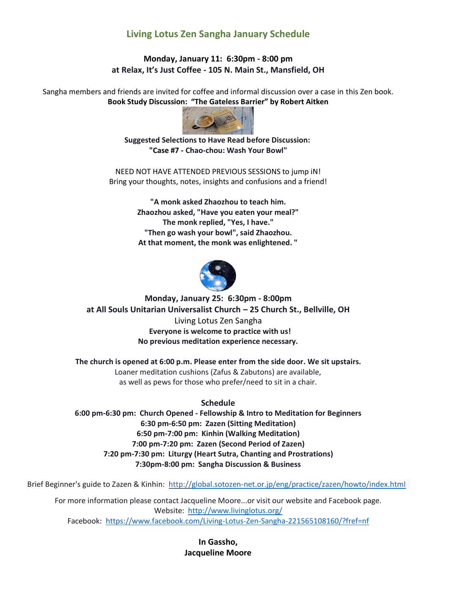# **Living Lotus Zen Sangha January Schedule**

# **Monday, January 11: 6:30pm - 8:00 pm at Relax, It's Just Coffee - 105 N. Main St., Mansfield, OH**

Sangha members and friends are invited for coffee and informal discussion over a case in this Zen book. **Book Study Discussion: "The Gateless Barrier" by Robert Aitken**



**Suggested Selections to Have Read before Discussion: "Case #7 - Chao-chou: Wash Your Bowl"**

NEED NOT HAVE ATTENDED PREVIOUS SESSIONS to jump iN! Bring your thoughts, notes, insights and confusions and a friend!

> **"A monk asked Zhaozhou to teach him. Zhaozhou asked, "Have you eaten your meal?" The monk replied, "Yes, I have." "Then go wash your bowl", said Zhaozhou. At that moment, the monk was enlightened. "**



**Monday, January 25: 6:30pm - 8:00pm at All Souls Unitarian Universalist Church – 25 Church St., Bellville, OH** Living Lotus Zen Sangha **Everyone is welcome to practice with us! No previous meditation experience necessary.**

**The church is opened at 6:00 p.m. Please enter from the side door. We sit upstairs.** Loaner meditation cushions (Zafus & Zabutons) are available, as well as pews for those who prefer/need to sit in a chair.

# **Schedule**

**6:00 pm-6:30 pm: Church Opened - Fellowship & Intro to Meditation for Beginners 6:30 pm-6:50 pm: Zazen (Sitting Meditation) 6:50 pm-7:00 pm: Kinhin (Walking Meditation) 7:00 pm-7:20 pm: Zazen (Second Period of Zazen) 7:20 pm-7:30 pm: Liturgy (Heart Sutra, Chanting and Prostrations) 7:30pm-8:00 pm: Sangha Discussion & Business**

Brief Beginner's guide to Zazen & Kinhin:<http://global.sotozen-net.or.jp/eng/practice/zazen/howto/index.html>

For more information please contact Jacqueline Moore...or visit our website and Facebook page. Website: <http://www.livinglotus.org/> Facebook:<https://www.facebook.com/Living-Lotus-Zen-Sangha-221565108160/?fref=nf>

> **In Gassho, Jacqueline Moore**